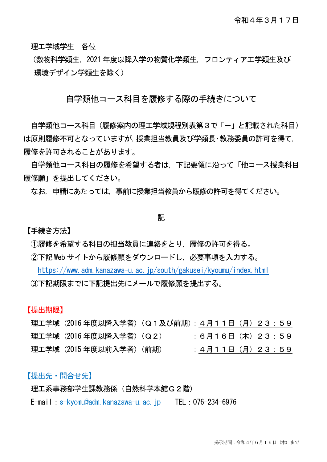理工学域学生 各位

(数物科学類生,2021 年度以降入学の物質化学類生,フロンティア工学類生及び 環境デザイン学類生を除く)

## 自学類他コース科目を履修する際の手続きについて

自学類他コース科目(履修案内の理工学域規程別表第3で「-」と記載された科目) は原則履修不可となっていますが,授業担当教員及び学類長・教務委員の許可を得て, 履修を許可されることがあります。

自学類他コース科目の履修を希望する者は,下記要領に沿って「他コース授業科目 履修願」を提出してください。

なお,申請にあたっては,事前に授業担当教員から履修の許可を得てください。

#### 記

【手続き方法】

①履修を希望する科目の担当教員に連絡をとり,履修の許可を得る。

②下記 Web サイトから履修願をダウンロードし,必要事項を入力する。

<https://www.adm.kanazawa-u.ac.jp/south/gakusei/kyoumu/index.html> ③下記期限までに下記提出先にメールで履修願を提出する。

【提出期限】

理工学域(2016 年度以降入学者)(Q1及び前期):4月11日(月)23:59 理工学域 (2016年度以降入学者) (Q2) : 6月16日 (木) 23:59 理工学域(2015 年度以前入学者)(前期) :4月11日(月)23:59

### 【提出先・問合せ先】

理工系事務部学生課教務係 (自然科学本館G2階)

E-mail:s-kyomu@adm.kanazawa-u.ac.jp TEL:076-234-6976